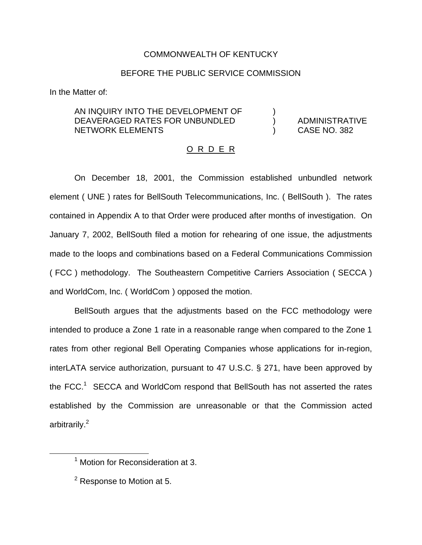## COMMONWEALTH OF KENTUCKY

## BEFORE THE PUBLIC SERVICE COMMISSION

In the Matter of:

## AN INQUIRY INTO THE DEVELOPMENT OF DEAVERAGED RATES FOR UNBUNDLED (a) ADMINISTRATIVE NETWORK ELEMENTS ) CASE NO. 382

## O R D E R

On December 18, 2001, the Commission established unbundled network element ( UNE ) rates for BellSouth Telecommunications, Inc. ( BellSouth ). The rates contained in Appendix A to that Order were produced after months of investigation. On January 7, 2002, BellSouth filed a motion for rehearing of one issue, the adjustments made to the loops and combinations based on a Federal Communications Commission ( FCC ) methodology. The Southeastern Competitive Carriers Association ( SECCA ) and WorldCom, Inc. ( WorldCom ) opposed the motion.

BellSouth argues that the adjustments based on the FCC methodology were intended to produce a Zone 1 rate in a reasonable range when compared to the Zone 1 rates from other regional Bell Operating Companies whose applications for in-region, interLATA service authorization, pursuant to 47 U.S.C. § 271, have been approved by the  $FCC<sup>1</sup>$  SECCA and WorldCom respond that BellSouth has not asserted the rates established by the Commission are unreasonable or that the Commission acted arbitrarily.<sup>2</sup>

 $<sup>1</sup>$  Motion for Reconsideration at 3.</sup>

 $2$  Response to Motion at 5.